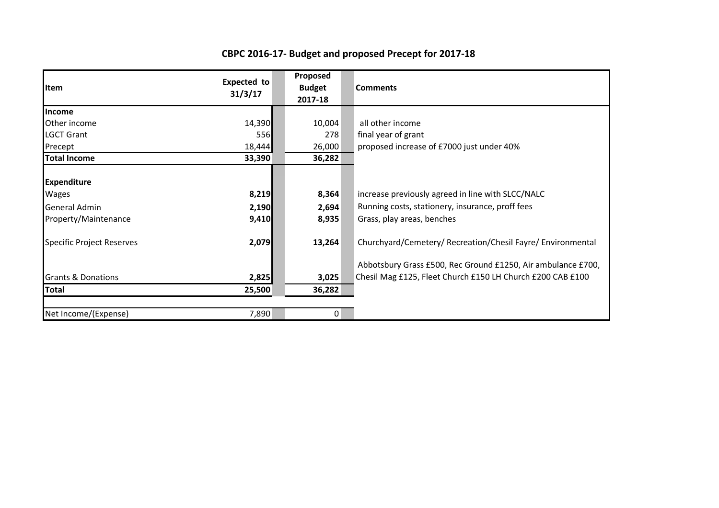## **CBPC 2016-17- Budget and proposed Precept for 2017-18**

| <b>Item</b>                      | <b>Expected to</b><br>31/3/17 | Proposed<br><b>Budget</b><br>2017-18 | <b>Comments</b>                                              |
|----------------------------------|-------------------------------|--------------------------------------|--------------------------------------------------------------|
| <b>Income</b>                    |                               |                                      |                                                              |
| Other income                     | 14,390                        | 10,004                               | all other income                                             |
| <b>LGCT Grant</b>                | 556                           | 278                                  | final year of grant                                          |
| Precept                          | 18,444                        | 26,000                               | proposed increase of £7000 just under 40%                    |
| <b>Total Income</b>              | 33,390                        | 36,282                               |                                                              |
| <b>Expenditure</b>               |                               |                                      |                                                              |
| <b>Wages</b>                     | 8,219                         | 8,364                                | increase previously agreed in line with SLCC/NALC            |
| <b>General Admin</b>             | 2,190                         | 2,694                                | Running costs, stationery, insurance, proff fees             |
| Property/Maintenance             | 9,410                         | 8,935                                | Grass, play areas, benches                                   |
| <b>Specific Project Reserves</b> | 2,079                         | 13,264                               | Churchyard/Cemetery/ Recreation/Chesil Fayre/ Environmental  |
|                                  |                               |                                      | Abbotsbury Grass £500, Rec Ground £1250, Air ambulance £700, |
| <b>Grants &amp; Donations</b>    | 2,825                         | 3,025                                | Chesil Mag £125, Fleet Church £150 LH Church £200 CAB £100   |
| <b>Total</b>                     | 25,500                        | 36,282                               |                                                              |
| Net Income/(Expense)             | 7,890                         | 0                                    |                                                              |